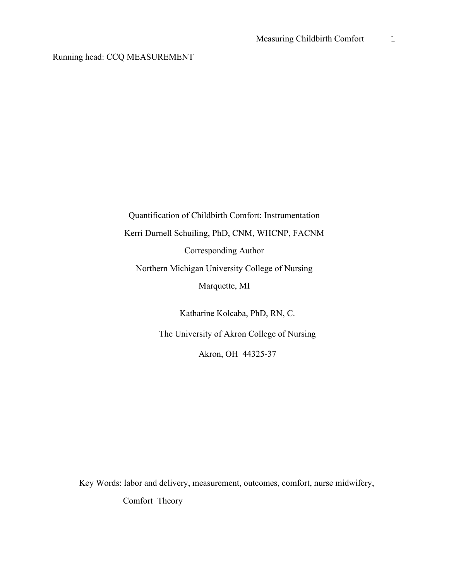Running head: CCQ MEASUREMENT

Quantification of Childbirth Comfort: Instrumentation Kerri Durnell Schuiling, PhD, CNM, WHCNP, FACNM Corresponding Author Northern Michigan University College of Nursing Marquette, MI

Katharine Kolcaba, PhD, RN, C.

The University of Akron College of Nursing

Akron, OH 44325-37

Key Words: labor and delivery, measurement, outcomes, comfort, nurse midwifery, Comfort Theory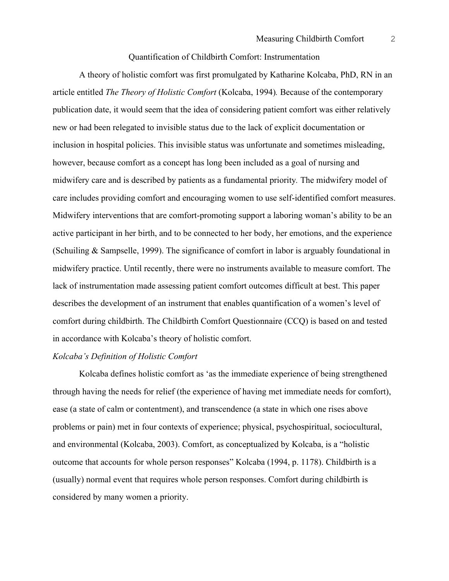#### Quantification of Childbirth Comfort: Instrumentation

A theory of holistic comfort was first promulgated by Katharine Kolcaba, PhD, RN in an article entitled *The Theory of Holistic Comfort* (Kolcaba, 1994)*.* Because of the contemporary publication date, it would seem that the idea of considering patient comfort was either relatively new or had been relegated to invisible status due to the lack of explicit documentation or inclusion in hospital policies. This invisible status was unfortunate and sometimes misleading, however, because comfort as a concept has long been included as a goal of nursing and midwifery care and is described by patients as a fundamental priority*.* The midwifery model of care includes providing comfort and encouraging women to use self-identified comfort measures. Midwifery interventions that are comfort-promoting support a laboring woman's ability to be an active participant in her birth, and to be connected to her body, her emotions, and the experience (Schuiling & Sampselle, 1999). The significance of comfort in labor is arguably foundational in midwifery practice. Until recently, there were no instruments available to measure comfort. The lack of instrumentation made assessing patient comfort outcomes difficult at best. This paper describes the development of an instrument that enables quantification of a women's level of comfort during childbirth. The Childbirth Comfort Questionnaire (CCQ) is based on and tested in accordance with Kolcaba's theory of holistic comfort.

### *Kolcaba's Definition of Holistic Comfort*

Kolcaba defines holistic comfort as 'as the immediate experience of being strengthened through having the needs for relief (the experience of having met immediate needs for comfort), ease (a state of calm or contentment), and transcendence (a state in which one rises above problems or pain) met in four contexts of experience; physical, psychospiritual, sociocultural, and environmental (Kolcaba, 2003). Comfort, as conceptualized by Kolcaba, is a "holistic outcome that accounts for whole person responses" Kolcaba (1994, p. 1178). Childbirth is a (usually) normal event that requires whole person responses. Comfort during childbirth is considered by many women a priority.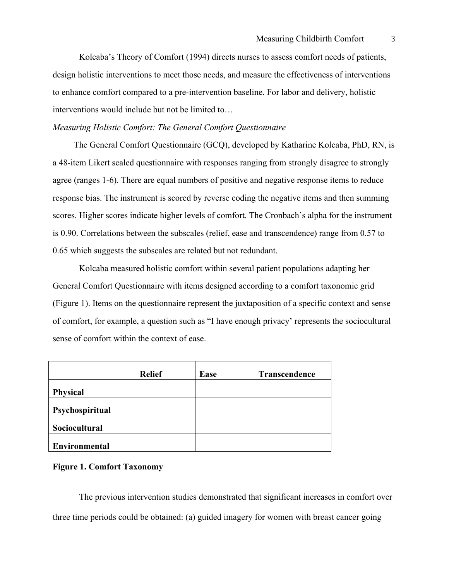Kolcaba's Theory of Comfort (1994) directs nurses to assess comfort needs of patients, design holistic interventions to meet those needs, and measure the effectiveness of interventions to enhance comfort compared to a pre-intervention baseline. For labor and delivery, holistic interventions would include but not be limited to…

### *Measuring Holistic Comfort: The General Comfort Questionnaire*

The General Comfort Questionnaire (GCQ), developed by Katharine Kolcaba, PhD, RN, is a 48-item Likert scaled questionnaire with responses ranging from strongly disagree to strongly agree (ranges 1-6). There are equal numbers of positive and negative response items to reduce response bias. The instrument is scored by reverse coding the negative items and then summing scores. Higher scores indicate higher levels of comfort. The Cronbach's alpha for the instrument is 0.90. Correlations between the subscales (relief, ease and transcendence) range from 0.57 to 0.65 which suggests the subscales are related but not redundant.

Kolcaba measured holistic comfort within several patient populations adapting her General Comfort Questionnaire with items designed according to a comfort taxonomic grid (Figure 1). Items on the questionnaire represent the juxtaposition of a specific context and sense of comfort, for example, a question such as "I have enough privacy' represents the sociocultural sense of comfort within the context of ease.

|                      | <b>Relief</b> | Ease | Transcendence |
|----------------------|---------------|------|---------------|
| <b>Physical</b>      |               |      |               |
| Psychospiritual      |               |      |               |
| Sociocultural        |               |      |               |
| <b>Environmental</b> |               |      |               |

#### **Figure 1. Comfort Taxonomy**

The previous intervention studies demonstrated that significant increases in comfort over three time periods could be obtained: (a) guided imagery for women with breast cancer going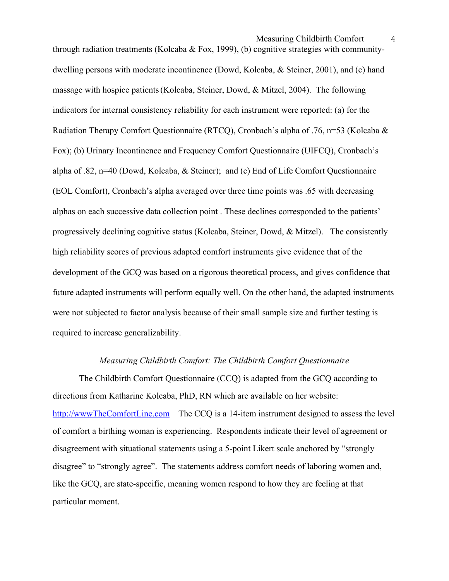Measuring Childbirth Comfort 4

through radiation treatments (Kolcaba & Fox, 1999), (b) cognitive strategies with communitydwelling persons with moderate incontinence (Dowd, Kolcaba, & Steiner, 2001), and (c) hand massage with hospice patients(Kolcaba, Steiner, Dowd, & Mitzel, 2004). The following indicators for internal consistency reliability for each instrument were reported: (a) for the Radiation Therapy Comfort Questionnaire (RTCQ), Cronbach's alpha of .76, n=53 (Kolcaba & Fox); (b) Urinary Incontinence and Frequency Comfort Questionnaire (UIFCQ), Cronbach's alpha of .82, n=40 (Dowd, Kolcaba, & Steiner); and (c) End of Life Comfort Questionnaire (EOL Comfort), Cronbach's alpha averaged over three time points was .65 with decreasing alphas on each successive data collection point . These declines corresponded to the patients' progressively declining cognitive status (Kolcaba, Steiner, Dowd, & Mitzel). The consistently high reliability scores of previous adapted comfort instruments give evidence that of the development of the GCQ was based on a rigorous theoretical process, and gives confidence that future adapted instruments will perform equally well. On the other hand, the adapted instruments were not subjected to factor analysis because of their small sample size and further testing is required to increase generalizability.

### *Measuring Childbirth Comfort: The Childbirth Comfort Questionnaire*

The Childbirth Comfort Questionnaire (CCQ) is adapted from the GCQ according to directions from Katharine Kolcaba, PhD, RN which are available on her website: http://wwwTheComfortLine.com The CCQ is a 14-item instrument designed to assess the level of comfort a birthing woman is experiencing. Respondents indicate their level of agreement or disagreement with situational statements using a 5-point Likert scale anchored by "strongly disagree" to "strongly agree". The statements address comfort needs of laboring women and, like the GCQ, are state-specific, meaning women respond to how they are feeling at that particular moment.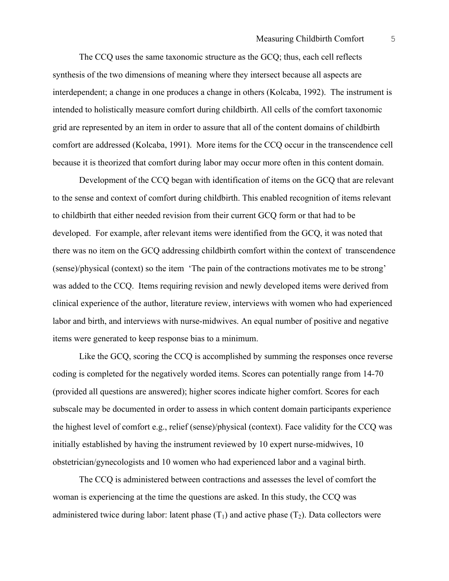The CCQ uses the same taxonomic structure as the GCQ; thus, each cell reflects synthesis of the two dimensions of meaning where they intersect because all aspects are interdependent; a change in one produces a change in others (Kolcaba, 1992). The instrument is intended to holistically measure comfort during childbirth. All cells of the comfort taxonomic grid are represented by an item in order to assure that all of the content domains of childbirth comfort are addressed (Kolcaba, 1991). More items for the CCQ occur in the transcendence cell because it is theorized that comfort during labor may occur more often in this content domain.

Development of the CCQ began with identification of items on the GCQ that are relevant to the sense and context of comfort during childbirth. This enabled recognition of items relevant to childbirth that either needed revision from their current GCQ form or that had to be developed. For example, after relevant items were identified from the GCQ, it was noted that there was no item on the GCQ addressing childbirth comfort within the context of transcendence (sense)/physical (context) so the item 'The pain of the contractions motivates me to be strong' was added to the CCQ. Items requiring revision and newly developed items were derived from clinical experience of the author, literature review, interviews with women who had experienced labor and birth, and interviews with nurse-midwives. An equal number of positive and negative items were generated to keep response bias to a minimum.

Like the GCQ, scoring the CCQ is accomplished by summing the responses once reverse coding is completed for the negatively worded items. Scores can potentially range from 14-70 (provided all questions are answered); higher scores indicate higher comfort. Scores for each subscale may be documented in order to assess in which content domain participants experience the highest level of comfort e.g., relief (sense)/physical (context). Face validity for the CCQ was initially established by having the instrument reviewed by 10 expert nurse-midwives, 10 obstetrician/gynecologists and 10 women who had experienced labor and a vaginal birth.

The CCQ is administered between contractions and assesses the level of comfort the woman is experiencing at the time the questions are asked. In this study, the CCQ was administered twice during labor: latent phase  $(T_1)$  and active phase  $(T_2)$ . Data collectors were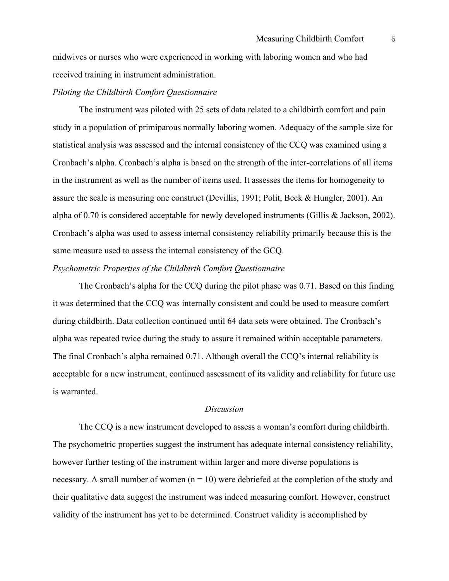midwives or nurses who were experienced in working with laboring women and who had received training in instrument administration.

### *Piloting the Childbirth Comfort Questionnaire*

The instrument was piloted with 25 sets of data related to a childbirth comfort and pain study in a population of primiparous normally laboring women. Adequacy of the sample size for statistical analysis was assessed and the internal consistency of the CCQ was examined using a Cronbach's alpha. Cronbach's alpha is based on the strength of the inter-correlations of all items in the instrument as well as the number of items used. It assesses the items for homogeneity to assure the scale is measuring one construct (Devillis, 1991; Polit, Beck & Hungler, 2001). An alpha of 0.70 is considered acceptable for newly developed instruments (Gillis & Jackson, 2002). Cronbach's alpha was used to assess internal consistency reliability primarily because this is the same measure used to assess the internal consistency of the GCQ.

# *Psychometric Properties of the Childbirth Comfort Questionnaire*

The Cronbach's alpha for the CCQ during the pilot phase was 0.71. Based on this finding it was determined that the CCQ was internally consistent and could be used to measure comfort during childbirth. Data collection continued until 64 data sets were obtained. The Cronbach's alpha was repeated twice during the study to assure it remained within acceptable parameters. The final Cronbach's alpha remained 0.71. Although overall the CCQ's internal reliability is acceptable for a new instrument, continued assessment of its validity and reliability for future use is warranted.

### *Discussion*

The CCQ is a new instrument developed to assess a woman's comfort during childbirth. The psychometric properties suggest the instrument has adequate internal consistency reliability, however further testing of the instrument within larger and more diverse populations is necessary. A small number of women  $(n = 10)$  were debriefed at the completion of the study and their qualitative data suggest the instrument was indeed measuring comfort. However, construct validity of the instrument has yet to be determined. Construct validity is accomplished by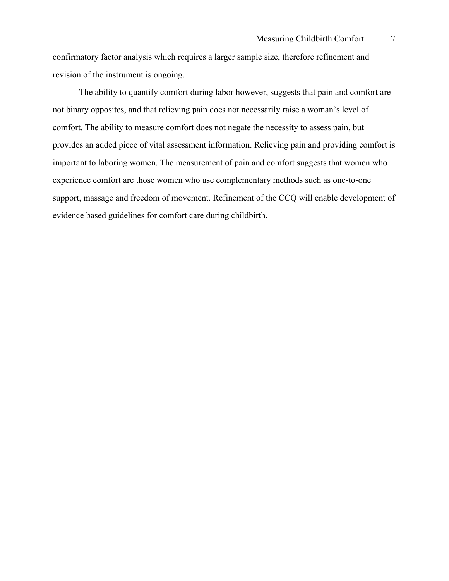confirmatory factor analysis which requires a larger sample size, therefore refinement and revision of the instrument is ongoing.

The ability to quantify comfort during labor however, suggests that pain and comfort are not binary opposites, and that relieving pain does not necessarily raise a woman's level of comfort. The ability to measure comfort does not negate the necessity to assess pain, but provides an added piece of vital assessment information. Relieving pain and providing comfort is important to laboring women. The measurement of pain and comfort suggests that women who experience comfort are those women who use complementary methods such as one-to-one support, massage and freedom of movement. Refinement of the CCQ will enable development of evidence based guidelines for comfort care during childbirth.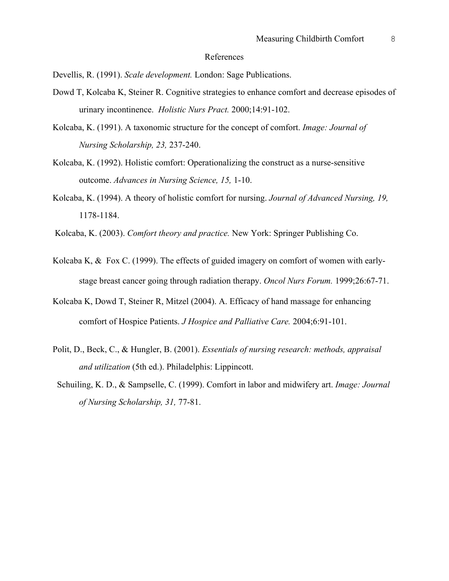#### References

Devellis, R. (1991). *Scale development.* London: Sage Publications.

- Dowd T, Kolcaba K, Steiner R. Cognitive strategies to enhance comfort and decrease episodes of urinary incontinence. *Holistic Nurs Pract.* 2000;14:91-102.
- Kolcaba, K. (1991). A taxonomic structure for the concept of comfort. *Image: Journal of Nursing Scholarship, 23,* 237-240.
- Kolcaba, K. (1992). Holistic comfort: Operationalizing the construct as a nurse-sensitive outcome. *Advances in Nursing Science, 15,* 1-10.
- Kolcaba, K. (1994). A theory of holistic comfort for nursing. *Journal of Advanced Nursing, 19,* 1178-1184.

Kolcaba, K. (2003). *Comfort theory and practice.* New York: Springer Publishing Co.

- Kolcaba K, & Fox C. (1999). The effects of guided imagery on comfort of women with earlystage breast cancer going through radiation therapy. *Oncol Nurs Forum.* 1999;26:67-71.
- Kolcaba K, Dowd T, Steiner R, Mitzel (2004). A. Efficacy of hand massage for enhancing comfort of Hospice Patients. *J Hospice and Palliative Care.* 2004;6:91-101.
- Polit, D., Beck, C., & Hungler, B. (2001). *Essentials of nursing research: methods, appraisal and utilization* (5th ed.). Philadelphis: Lippincott.
- Schuiling, K. D., & Sampselle, C. (1999). Comfort in labor and midwifery art. *Image: Journal of Nursing Scholarship, 31,* 77-81.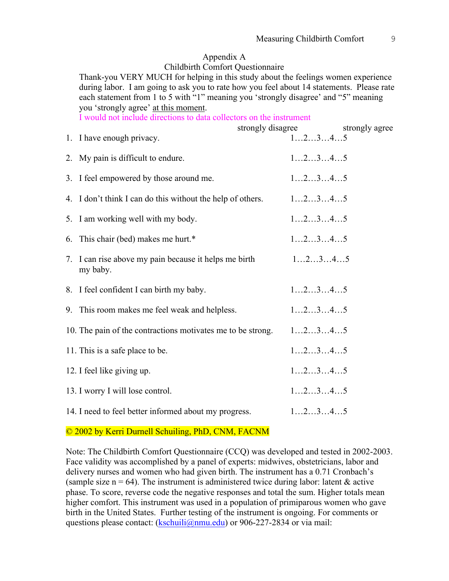# Appendix A

# Childbirth Comfort Questionnaire

Thank-you VERY MUCH for helping in this study about the feelings women experience during labor. I am going to ask you to rate how you feel about 14 statements. Please rate each statement from 1 to 5 with "1" meaning you 'strongly disagree' and "5" meaning you 'strongly agree' at this moment.

I would not include directions to data collectors on the instrument

| 1. I have enough privacy.                                         | strongly disagree<br>12345 | strongly agree |
|-------------------------------------------------------------------|----------------------------|----------------|
| 2. My pain is difficult to endure.                                | 12345                      |                |
| 3. I feel empowered by those around me.                           | 12345                      |                |
| 4. I don't think I can do this without the help of others.        | 12345                      |                |
| 5. I am working well with my body.                                | 12345                      |                |
| This chair (bed) makes me hurt.*<br>6.                            | 12345                      |                |
| 7. I can rise above my pain because it helps me birth<br>my baby. | 12345                      |                |
| 8. I feel confident I can birth my baby.                          | 12345                      |                |
| 9. This room makes me feel weak and helpless.                     | 12345                      |                |
| 10. The pain of the contractions motivates me to be strong.       | 12345                      |                |
| 11. This is a safe place to be.                                   | 12345                      |                |
| 12. I feel like giving up.                                        | 12345                      |                |
| 13. I worry I will lose control.                                  | 12345                      |                |
| 14. I need to feel better informed about my progress.             | 12345                      |                |

# © 2002 by Kerri Durnell Schuiling, PhD, CNM, FACNM

Note: The Childbirth Comfort Questionnaire (CCQ) was developed and tested in 2002-2003. Face validity was accomplished by a panel of experts: midwives, obstetricians, labor and delivery nurses and women who had given birth. The instrument has a 0.71 Cronbach's (sample size  $n = 64$ ). The instrument is administered twice during labor: latent & active phase. To score, reverse code the negative responses and total the sum. Higher totals mean higher comfort. This instrument was used in a population of primiparous women who gave birth in the United States. Further testing of the instrument is ongoing. For comments or questions please contact: (kschuili@nmu.edu) or 906-227-2834 or via mail: